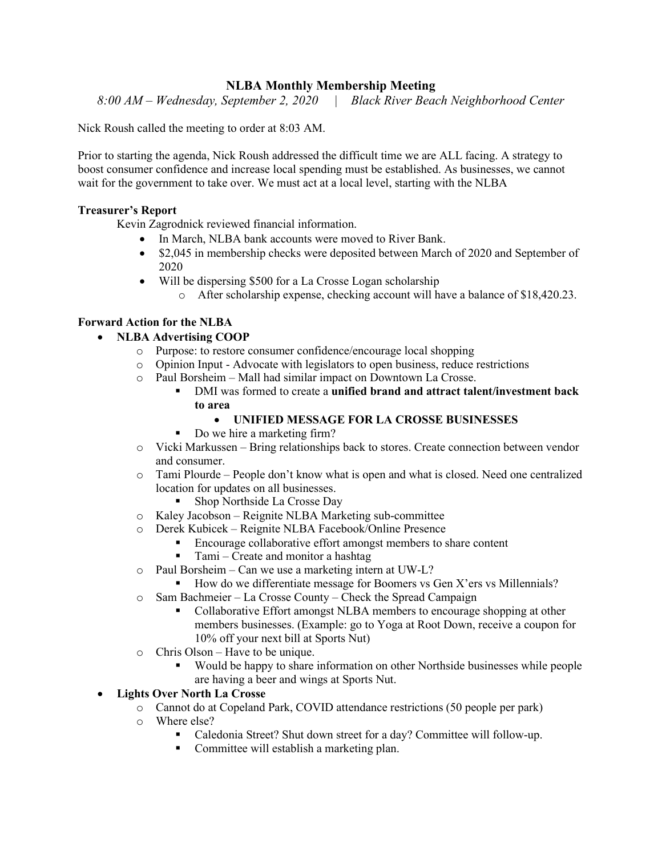## **NLBA Monthly Membership Meeting**

*8:00 AM – Wednesday, September 2, 2020 | Black River Beach Neighborhood Center*

Nick Roush called the meeting to order at 8:03 AM.

Prior to starting the agenda, Nick Roush addressed the difficult time we are ALL facing. A strategy to boost consumer confidence and increase local spending must be established. As businesses, we cannot wait for the government to take over. We must act at a local level, starting with the NLBA

## **Treasurer's Report**

Kevin Zagrodnick reviewed financial information.

- In March, NLBA bank accounts were moved to River Bank.
- \$2,045 in membership checks were deposited between March of 2020 and September of 2020
- Will be dispersing \$500 for a La Crosse Logan scholarship
	- o After scholarship expense, checking account will have a balance of \$18,420.23.

## **Forward Action for the NLBA**

- **NLBA Advertising COOP**
	- o Purpose: to restore consumer confidence/encourage local shopping
	- o Opinion Input Advocate with legislators to open business, reduce restrictions
	- o Paul Borsheim Mall had similar impact on Downtown La Crosse.
		- DMI was formed to create a **unified brand and attract talent/investment back to area**
			- **UNIFIED MESSAGE FOR LA CROSSE BUSINESSES**
		- Do we hire a marketing firm?
	- o Vicki Markussen Bring relationships back to stores. Create connection between vendor and consumer.
	- o Tami Plourde People don't know what is open and what is closed. Need one centralized location for updates on all businesses.
		- Shop Northside La Crosse Day
	- o Kaley Jacobson Reignite NLBA Marketing sub-committee
	- o Derek Kubicek Reignite NLBA Facebook/Online Presence
		- Encourage collaborative effort amongst members to share content
		- $\blacksquare$  Tami Create and monitor a hashtag
	- o Paul Borsheim Can we use a marketing intern at UW-L?
		- How do we differentiate message for Boomers vs Gen X'ers vs Millennials?
	- o Sam Bachmeier La Crosse County Check the Spread Campaign
		- Collaborative Effort amongst NLBA members to encourage shopping at other members businesses. (Example: go to Yoga at Root Down, receive a coupon for 10% off your next bill at Sports Nut)
	- o Chris Olson Have to be unique.
		- Would be happy to share information on other Northside businesses while people are having a beer and wings at Sports Nut.

## • **Lights Over North La Crosse**

- o Cannot do at Copeland Park, COVID attendance restrictions (50 people per park)
- o Where else?
	- Caledonia Street? Shut down street for a day? Committee will follow-up.
	- Committee will establish a marketing plan.